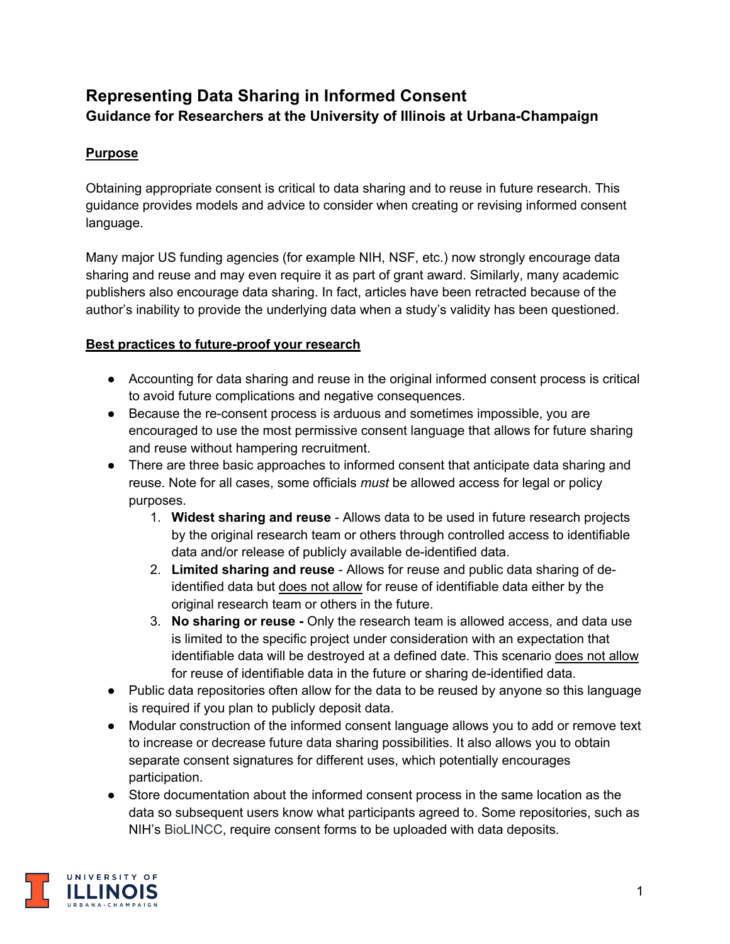# **Representing Data Sharing in Informed Consent Guidance for Researchers at the University of Illinois at Urbana-Champaign**

# **Purpose**

Obtaining appropriate consent is critical to data sharing and to reuse in future research. This guidance provides models and advice to consider when creating or revising informed consent language.

Many major US funding agencies (for example NIH, NSF, etc.) now strongly encourage data sharing and reuse and may even require it as part of grant award. Similarly, many academic publishers also encourage data sharing. In fact, articles have been retracted because of the author's inability to provide the underlying data when a study's validity has been questioned.

### **Best practices to future-proof your research**

- Accounting for data sharing and reuse in the original informed consent process is critical to avoid future complications and negative consequences.
- Because the re-consent process is arduous and sometimes impossible, you are encouraged to use the most permissive consent language that allows for future sharing and reuse without hampering recruitment.
- There are three basic approaches to informed consent that anticipate data sharing and reuse. Note for all cases, some officials *must* be allowed access for legal or policy purposes.
	- 1. **Widest sharing and reuse**  Allows data to be used in future research projects by the original research team or others through controlled access to identifiable data and/or release of publicly available de-identified data.
	- 2. **Limited sharing and reuse** Allows for reuse and public data sharing of deidentified data but does not allow for reuse of identifiable data either by the original research team or others in the future.
	- 3. **No sharing or reuse -** Only the research team is allowed access, and data use is limited to the specific project under consideration with an expectation that identifiable data will be destroyed at a defined date. This scenario does not allow for reuse of identifiable data in the future or sharing de-identified data.
- Public data repositories often allow for the data to be reused by anyone so this language is required if you plan to publicly deposit data.
- Modular construction of the informed consent language allows you to add or remove text to increase or decrease future data sharing possibilities. It also allows you to obtain separate consent signatures for different uses, which potentially encourages participation.
- Store documentation about the informed consent process in the same location as the data so subsequent users know what participants agreed to. Some repositories, such as NIH's BioLINCC, require consent forms to be uploaded with data deposits.

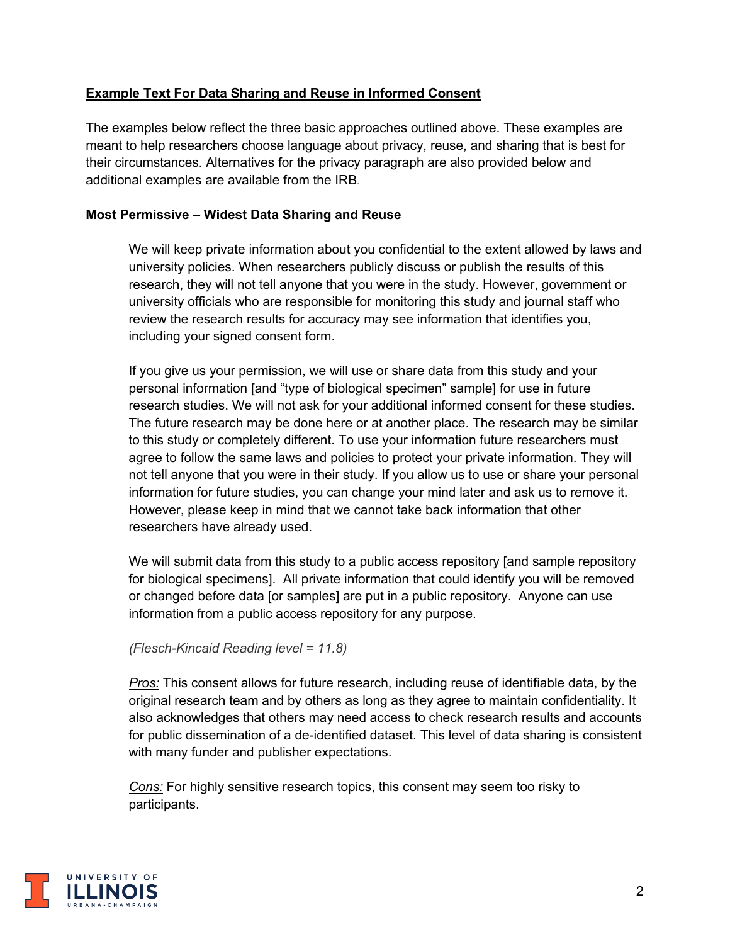### **Example Text For Data Sharing and Reuse in Informed Consent**

The examples below reflect the three basic approaches outlined above. These examples are meant to help researchers choose language about privacy, reuse, and sharing that is best for their circumstances. Alternatives for the privacy paragraph are also provided below and additional examples are available from the IRB.

#### **Most Permissive – Widest Data Sharing and Reuse**

We will keep private information about you confidential to the extent allowed by laws and university policies. When researchers publicly discuss or publish the results of this research, they will not tell anyone that you were in the study. However, government or university officials who are responsible for monitoring this study and journal staff who review the research results for accuracy may see information that identifies you, including your signed consent form.

If you give us your permission, we will use or share data from this study and your personal information [and "type of biological specimen" sample] for use in future research studies. We will not ask for your additional informed consent for these studies. The future research may be done here or at another place. The research may be similar to this study or completely different. To use your information future researchers must agree to follow the same laws and policies to protect your private information. They will not tell anyone that you were in their study. If you allow us to use or share your personal information for future studies, you can change your mind later and ask us to remove it. However, please keep in mind that we cannot take back information that other researchers have already used.

We will submit data from this study to a public access repository [and sample repository for biological specimens]. All private information that could identify you will be removed or changed before data [or samples] are put in a public repository. Anyone can use information from a public access repository for any purpose.

#### *(Flesch-Kincaid Reading level = 11.8)*

*Pros:* This consent allows for future research, including reuse of identifiable data, by the original research team and by others as long as they agree to maintain confidentiality. It also acknowledges that others may need access to check research results and accounts for public dissemination of a de-identified dataset. This level of data sharing is consistent with many funder and publisher expectations.

*Cons:* For highly sensitive research topics, this consent may seem too risky to participants.

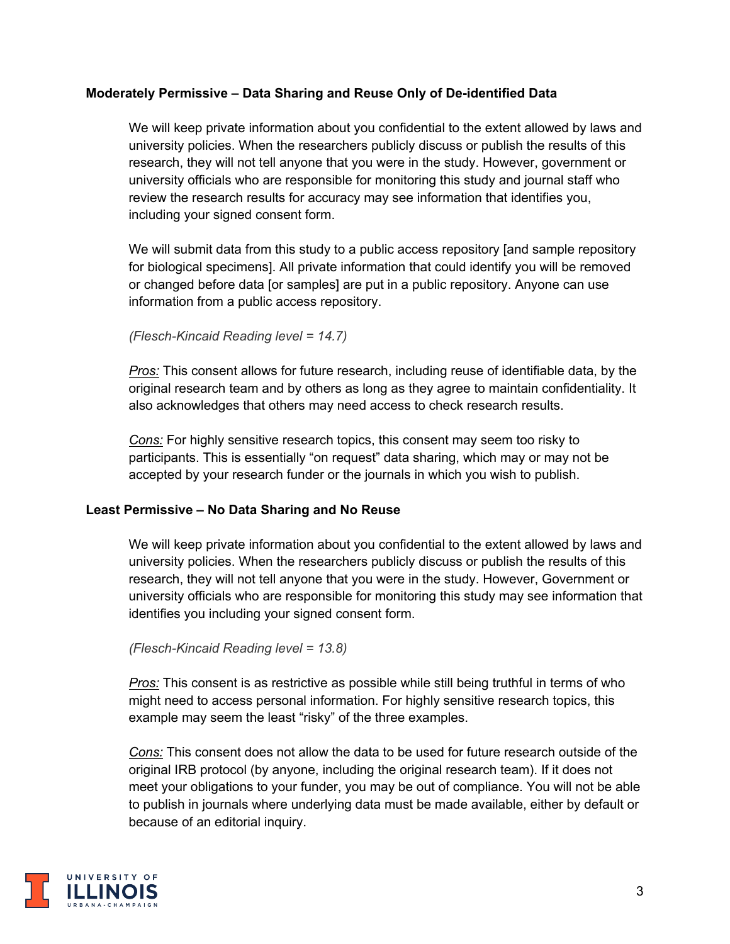#### **Moderately Permissive – Data Sharing and Reuse Only of De-identified Data**

We will keep private information about you confidential to the extent allowed by laws and university policies. When the researchers publicly discuss or publish the results of this research, they will not tell anyone that you were in the study. However, government or university officials who are responsible for monitoring this study and journal staff who review the research results for accuracy may see information that identifies you, including your signed consent form.

We will submit data from this study to a public access repository [and sample repository for biological specimens]. All private information that could identify you will be removed or changed before data [or samples] are put in a public repository. Anyone can use information from a public access repository.

#### *(Flesch-Kincaid Reading level = 14.7)*

*Pros:* This consent allows for future research, including reuse of identifiable data, by the original research team and by others as long as they agree to maintain confidentiality. It also acknowledges that others may need access to check research results.

*Cons:* For highly sensitive research topics, this consent may seem too risky to participants. This is essentially "on request" data sharing, which may or may not be accepted by your research funder or the journals in which you wish to publish.

#### **Least Permissive – No Data Sharing and No Reuse**

We will keep private information about you confidential to the extent allowed by laws and university policies. When the researchers publicly discuss or publish the results of this research, they will not tell anyone that you were in the study. However, Government or university officials who are responsible for monitoring this study may see information that identifies you including your signed consent form.

#### *(Flesch-Kincaid Reading level = 13.8)*

*Pros:* This consent is as restrictive as possible while still being truthful in terms of who might need to access personal information. For highly sensitive research topics, this example may seem the least "risky" of the three examples.

*Cons:* This consent does not allow the data to be used for future research outside of the original IRB protocol (by anyone, including the original research team). If it does not meet your obligations to your funder, you may be out of compliance. You will not be able to publish in journals where underlying data must be made available, either by default or because of an editorial inquiry.

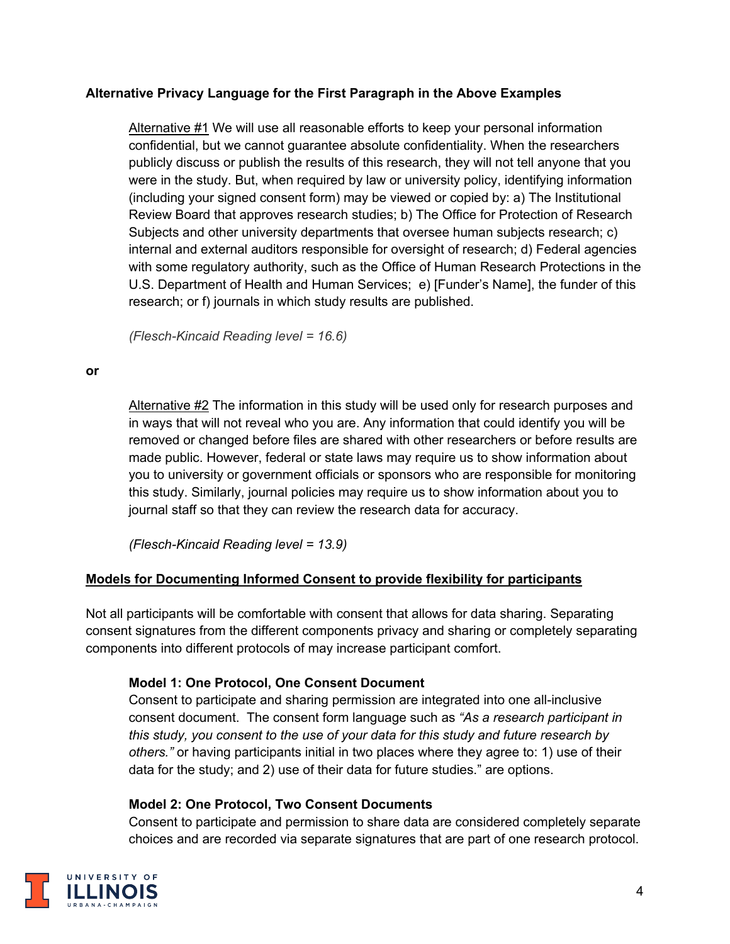### **Alternative Privacy Language for the First Paragraph in the Above Examples**

Alternative #1 We will use all reasonable efforts to keep your personal information confidential, but we cannot guarantee absolute confidentiality. When the researchers publicly discuss or publish the results of this research, they will not tell anyone that you were in the study. But, when required by law or university policy, identifying information (including your signed consent form) may be viewed or copied by: a) The Institutional Review Board that approves research studies; b) The Office for Protection of Research Subjects and other university departments that oversee human subjects research; c) internal and external auditors responsible for oversight of research; d) Federal agencies with some regulatory authority, such as the Office of Human Research Protections in the U.S. Department of Health and Human Services; e) [Funder's Name], the funder of this research; or f) journals in which study results are published.

*(Flesch-Kincaid Reading level = 16.6)*

#### **or**

Alternative #2 The information in this study will be used only for research purposes and in ways that will not reveal who you are. Any information that could identify you will be removed or changed before files are shared with other researchers or before results are made public. However, federal or state laws may require us to show information about you to university or government officials or sponsors who are responsible for monitoring this study. Similarly, journal policies may require us to show information about you to journal staff so that they can review the research data for accuracy.

*(Flesch-Kincaid Reading level = 13.9)*

### **Models for Documenting Informed Consent to provide flexibility for participants**

Not all participants will be comfortable with consent that allows for data sharing. Separating consent signatures from the different components privacy and sharing or completely separating components into different protocols of may increase participant comfort.

### **Model 1: One Protocol, One Consent Document**

Consent to participate and sharing permission are integrated into one all-inclusive consent document. The consent form language such as *"As a research participant in this study, you consent to the use of your data for this study and future research by others."* or having participants initial in two places where they agree to: 1) use of their data for the study; and 2) use of their data for future studies." are options.

### **Model 2: One Protocol, Two Consent Documents**

Consent to participate and permission to share data are considered completely separate choices and are recorded via separate signatures that are part of one research protocol.

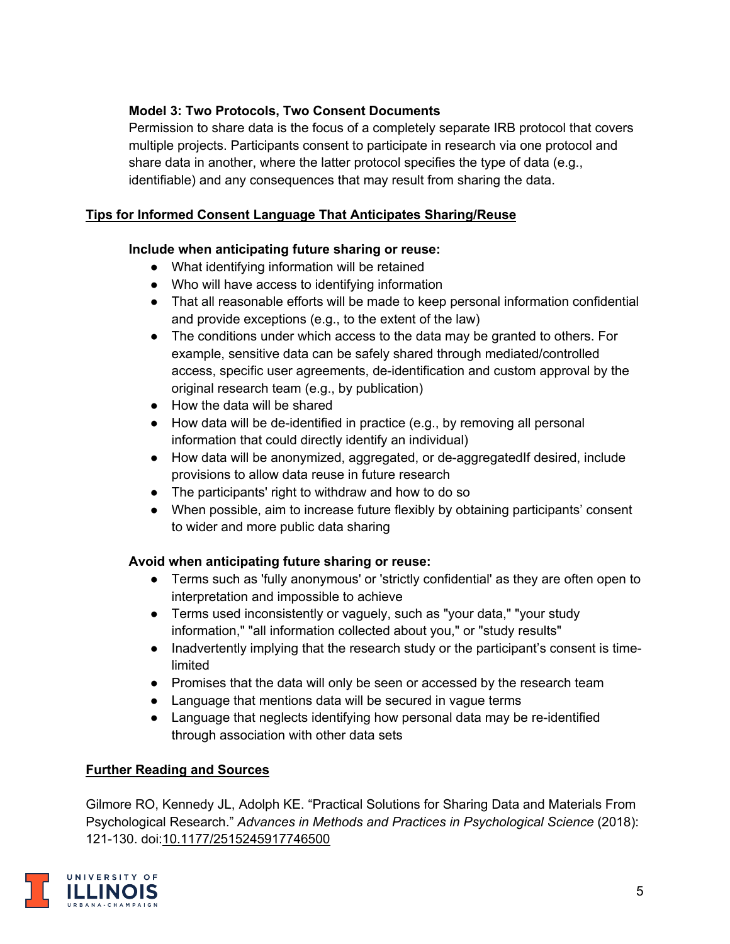# **Model 3: Two Protocols, Two Consent Documents**

Permission to share data is the focus of a completely separate IRB protocol that covers multiple projects. Participants consent to participate in research via one protocol and share data in another, where the latter protocol specifies the type of data (e.g., identifiable) and any consequences that may result from sharing the data.

### **Tips for Informed Consent Language That Anticipates Sharing/Reuse**

### **Include when anticipating future sharing or reuse:**

- What identifying information will be retained
- Who will have access to identifying information
- That all reasonable efforts will be made to keep personal information confidential and provide exceptions (e.g., to the extent of the law)
- The conditions under which access to the data may be granted to others. For example, sensitive data can be safely shared through mediated/controlled access, specific user agreements, de-identification and custom approval by the original research team (e.g., by publication)
- How the data will be shared
- How data will be de-identified in practice (e.g., by removing all personal information that could directly identify an individual)
- How data will be anonymized, aggregated, or de-aggregatedIf desired, include provisions to allow data reuse in future research
- The participants' right to withdraw and how to do so
- When possible, aim to increase future flexibly by obtaining participants' consent to wider and more public data sharing

### **Avoid when anticipating future sharing or reuse:**

- Terms such as 'fully anonymous' or 'strictly confidential' as they are often open to interpretation and impossible to achieve
- Terms used inconsistently or vaguely, such as "your data," "your study information," "all information collected about you," or "study results"
- Inadvertently implying that the research study or the participant's consent is timelimited
- Promises that the data will only be seen or accessed by the research team
- Language that mentions data will be secured in vague terms
- Language that neglects identifying how personal data may be re-identified through association with other data sets

# **Further Reading and Sources**

Gilmore RO, Kennedy JL, Adolph KE. "Practical Solutions for Sharing Data and Materials From Psychological Research." *Advances in Methods and Practices in Psychological Science* (2018): 121-130. doi:[10.1177/2515245917746500](https://journals.sagepub.com/doi/10.1177/2515245917746500)